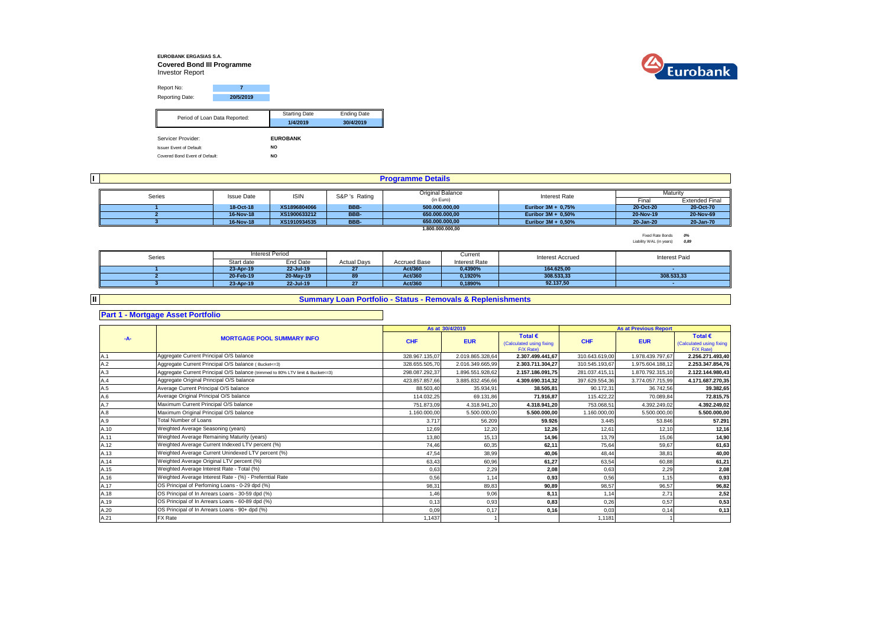### **EUROBANK ERGASIAS S.A. Covered Bond III Programme** Investor Report



Report No: **7** Reporting Date: **20/5/2019** Starting Date Ending Date **1/4/2019 30/4/2019** Servicer Provider: **EUROBANK** Issuer Event of Default: **NO** Covered Bond Event of Default: **NO** Period of Loan Data Reported:

**I** Final Extended Final<br>20-Oct-20 20-Oct-70 **18-Oct-18 XS1896804066 BBB- Euribor 3M + 0,75% 20-Oct-20 20-Oct-70 16-Nov-18 XS1900633212 BBB- Euribor 3M + 0,50% 20-Nov-19 20-Nov-69 16-Nov-18 XS1910934535 BBB- Euribor 3M + 0,50% 20-Jan-20 20-Jan-70 1 500.000.000,00 2 650.000.000,00 3 16-Nov-18 851910934535 Programme Details** Series Issue Date ISIN S&P 's Rating Original Balance Interest Rate Interest Rate Maturity (in Euro) **1.800.000.000,00**

> Fixed Rate Bonds *0%* Liability WAL (in years) *0,89*

| Series |            | Interest Period |                    |                     | Current       | <b>Interest Accrued</b> | Interest Paid |
|--------|------------|-----------------|--------------------|---------------------|---------------|-------------------------|---------------|
|        | Start date | End Date        | <b>Actual Davs</b> | <b>Accrued Base</b> | Interest Rate |                         |               |
|        | 23-Apr-19  | 22-Jul-19       |                    | Act/360             | 0,4390%       | 164,625.00              |               |
|        | 20-Feb-19  | 20-May-19       | 89                 | Act/360             | 0,1920%       | 308.533,33              | 308.533,33    |
|        | 23-Apr-19  | 22-Jul-19       | 27                 | Act/360             | 0,1890%       | 92.137.50               |               |

### **Summary Loan Portfolio - Status - Removals & Replenishments**

## **Part 1 - Mortgage Asset Portfolio**

**II**

#### **As at Total € Total €**  (Calculated using fixing **CHF EUR CHF EUR**  $F/X$  Rate)<br>2.307.499.441.67 Calculated using fixing  $F/X$  Rate)<br>2.256.271.493.40 A.1 328.967.135,07 2.019.865.328,64 **2.307.499.441,67** 310.643.619,00 1.978.439.797,67 **2.256.271.493,40** Aggregate Current Principal O/S balance A.2 328.655.505,70 2.016.349.665,99 **2.303.711.304,27** 310.545.193,67 1.975.604.188,12 **2.253.347.854,76** Aggregate Current Principal O/S balance ( Bucket<=3) A.3 **281.037.415,11** 1.870.792.315,10 **2.122.144.980,43 2.122.144.980,43 2.122.144.980,43 2.137.186.091,75 281.037.415,11** 1.870.792.315,10 **2.122.144.980,43** A.4 423.857.857,66 3.885.832.456,66 **4.309.690.314,32** 397.629.554,36 3.774.057.715,99 **4.171.687.270,35** Aggregate Original Principal O/S balance A.5 88.503,40 35.934,91 **38.505,81** 90.172,31 36.742,56 **39.382,65** A.6 114.032,25 69.131,86 **71.916,87** 115.422,22 70.089,84 **72.815,75** Average Original Principal O/S balance A.7 751.873,09 4.318.941,20 **4.318.941,20** 753.068,51 4.392.249,02 **4.392.249,02** Maximum Current Principal O/S balance A.8 1.160.000,00 5.500.000,00 **5.500.000,00** 1.160.000,00 5.500.000,00 **5.500.000,00** Maximum Original Principal O/S balance A.9 3.717 56.209 **59.926** 3.445 53.846 **57.291** A.10 12,69 12,20 **12,26** 12,61 12,10 **12,16** Weighted Average Seasoning (years) A.11 13,80 15,13 **14,96** 13,79 15,06 **14,90** Weighted Average Remaining Maturity (years) A.12 74,46 60,35 **62,11** 75,64 59,67 **61,63** Weighted Average Current Indexed LTV percent (%) A.13 47,54 38,99 **40,06** 48,44 38,81 **40,00** Weighted Average Current Unindexed LTV percent (%) A.14 63,43 60,96 **61,27** 63,54 60,88 **61,21** Weighted Average Original LTV percent (%) A.15 0,63 2,29 **2,08** 0,63 2,29 **2,08** Weighted Average Interest Rate - Total (%) A.16 0,56 1,14 **0,93** 0,56 1,15 **0,93** Weighted Average Interest Rate - (%) - Preferntial Rate A.17 98,31 89,83 **90,89** 98,57 96,57 **96,82** OS Principal of Perfoming Loans - 0-29 dpd (%) A.18 1,46 9,06 **8,11** 1,14 2,71 **2,52** OS Principal of In Arrears Loans - 30-59 dpd (%)A.19 0,13 0,93 **0,83** 0,26 0,57 **0,53** OS Principal of In Arrears Loans - 60-89 dpd (%) A.20 0,09 0,17 **0,16** 0,03 0,14 **0,13** OS Principal of In Arrears Loans - 90+ dpd (%) A.21 P.X Rate the state of the state of the control of the control of the control of the control of the control of the control of the control of the control of the control of the control of the control of the control of th **-A- MORTGAGE POOL SUMMARY INFO 30/4/2019 As at Previous Report** Total Number of Loans **Average Current Principal O/S balance** FX Rate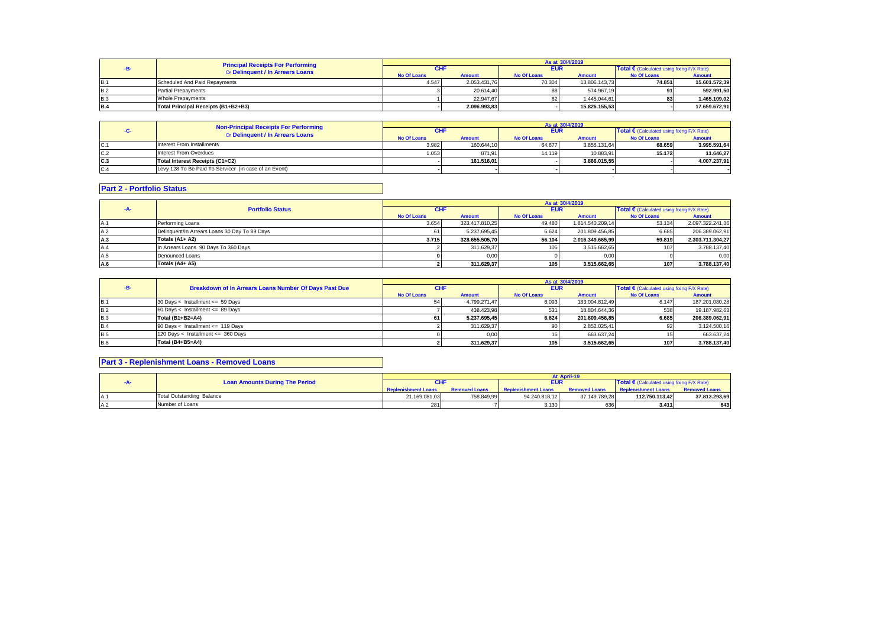|            | <b>Principal Receipts For Performing</b> | As at 30/4/2019    |               |                    |               |                                            |               |  |
|------------|------------------------------------------|--------------------|---------------|--------------------|---------------|--------------------------------------------|---------------|--|
|            | Or Delinquent / In Arrears Loans         | CHI                |               | <b>EUR</b>         |               | Total € (Calculated using fixing F/X Rate) |               |  |
|            |                                          | <b>No Of Loans</b> | <b>Amount</b> | <b>No Of Loans</b> | <b>Amount</b> | <b>No Of Loans</b>                         | <b>Amount</b> |  |
| <b>B.1</b> | Scheduled And Paid Repayments            | 4.547              | 2.053.431.76  | 70.304             | 13.806.143.73 | 74.851                                     | 15.601.572.39 |  |
| <b>B.2</b> | <b>Partial Prepayments</b>               |                    | 20.614.40     | 88                 | 574.967.19    |                                            | 592.991.50    |  |
| <b>B.3</b> | <b>Whole Prepayments</b>                 |                    | 22.947.67     | 82                 | 1.445.044.61  | 83                                         | 1.465.109.02  |  |
| <b>B.4</b> | Total Principal Receipts (B1+B2+B3)      |                    | 2.096.993.83  |                    | 15.826.155.53 |                                            | 17.659.672.91 |  |

|     | <b>Non-Principal Receipts For Performing</b>          |                    |               |                    | As at 30/4/2019 |                                              |               |
|-----|-------------------------------------------------------|--------------------|---------------|--------------------|-----------------|----------------------------------------------|---------------|
| -02 | Or Delinquent / In Arrears Loans                      | <b>CHI</b>         |               | <b>EUR</b>         |                 | Total € (Calculated using fixing $F/X$ Rate) |               |
|     |                                                       | <b>No Of Loans</b> | <b>Amount</b> | <b>No Of Loans</b> | <b>Amount</b>   | <b>No Of Loans</b>                           | <b>Amount</b> |
| C.1 | Interest From Installments                            | 3.982              | 160.644.10    | 64.677             | 3.855.131.64    | 68.659                                       | 3.995.591,64  |
| C.2 | Interest From Overdues                                | 1.053              | 871.91        | 14.119             | 10.883.91       | 15.172                                       | 11.646.27     |
| C.3 | Total Interest Receipts (C1+C2)                       |                    | 161.516.01    |                    | 3.866.015.55    |                                              | 4.007.237.91  |
| C.4 | Levy 128 To Be Paid To Servicer (in case of an Event) |                    |               |                    |                 |                                              |               |
|     |                                                       |                    |               |                    |                 |                                              |               |

# **Part 2 - Portfolio Status**

|     |                                               |                    |                |                    | As at 30/4/2019  |                                                     |                  |
|-----|-----------------------------------------------|--------------------|----------------|--------------------|------------------|-----------------------------------------------------|------------------|
| -A- | <b>Portfolio Status</b>                       | <b>CHF</b>         |                | <b>EUR</b>         |                  | Total $\epsilon$ (Calculated using fixing F/X Rate) |                  |
|     |                                               | <b>No Of Loans</b> | <b>Amount</b>  | <b>No Of Loans</b> | <b>Amount</b>    | <b>No Of Loans</b>                                  | <b>Amount</b>    |
|     | Performing Loans                              | 3.654              | 323.417.810.25 | 49.480             | 1.814.540.209.14 | 53.134                                              | 2.097.322.241.36 |
|     | Delinquent/In Arrears Loans 30 Day To 89 Days |                    | 5.237.695.45   | 6.624              | 201.809.456.85   | 6.685                                               | 206.389.062.91   |
| A.3 | Totals (A1+ A2)                               | 3.715              | 328.655.505.70 | 56.104             | 2.016.349.665.99 | 59.819                                              | 2.303.711.304.27 |
|     | In Arrears Loans 90 Days To 360 Days          |                    | 311.629.37     | 105                | 3.515.662,65     |                                                     | 3.788.137,40     |
|     | Denounced Loans                               |                    | 0.00           |                    | 0.00             |                                                     | 0,00             |
|     | Totals (A4+ A5)                               |                    | 311.629.37     | 105                | 3.515.662,65     | 107                                                 | 3.788.137,40     |

|            |                                                       |             |               |                    | As at 30/4/2019 |                                                     |                |
|------------|-------------------------------------------------------|-------------|---------------|--------------------|-----------------|-----------------------------------------------------|----------------|
|            | Breakdown of In Arrears Loans Number Of Days Past Due | <b>CHF</b>  |               | <b>EUR</b>         |                 | Total $\epsilon$ (Calculated using fixing F/X Rate) |                |
|            |                                                       | No Of Loans | <b>Amount</b> | <b>No Of Loans</b> | <b>Amount</b>   | No Of Loans                                         | <b>Amount</b>  |
| <b>B.1</b> | 30 Days < Installment <= 59 Days                      |             | 4.799.271,47  | 6.093              | 183.004.812,49  | 6.147                                               | 187.201.080,28 |
| B.2        | 60 Days < Installment <= 89 Days                      |             | 438.423.98    | 531                | 18.804.644.36   | 538                                                 | 19.187.982,63  |
| <b>B.3</b> | Total (B1+B2=A4)                                      | 61 I        | 5.237.695.45  | 6.624              | 201.809.456.85  | 6.685                                               | 206.389.062.91 |
| <b>B.4</b> | 90 Days < Installment <= 119 Days                     |             | 311.629.37    |                    | 2.852.025.41    | 92                                                  | 3.124.500,16   |
| <b>B.5</b> | 120 Days < Installment <= 360 Days                    |             | 0,00          |                    | 663.637.24      |                                                     | 663.637,24     |
| <b>B.6</b> | Total (B4+B5=A4)                                      |             | 311.629.37    | 105                | 3.515.662.65    | 107                                                 | 3.788.137,40   |

# **Part 3 - Replenishment Loans - Removed Loans**

|     |                                       |               |                      |                            | At April-19          |                                                     |                      |
|-----|---------------------------------------|---------------|----------------------|----------------------------|----------------------|-----------------------------------------------------|----------------------|
|     | <b>Loan Amounts During The Period</b> | <b>CHF</b>    |                      | <b>EUR</b>                 |                      | Total $\epsilon$ (Calculated using fixing F/X Rate) |                      |
|     |                                       |               | <b>Removed Loans</b> | <b>Replenishment Loans</b> | <b>Removed Loans</b> | <b>Replenishment Loans</b>                          | <b>Removed Loans</b> |
| IA. | <b>Total Outstanding Balance</b>      | 21.169.081,03 | 758.849.99           | 94.240.818.12              | 37.149.789.28        | 112.750.113.42                                      | 37.813.293.69        |
| IA∴ | Number of Loans                       | 281           |                      | 3.136                      | n.st                 | 3.411                                               | 643                  |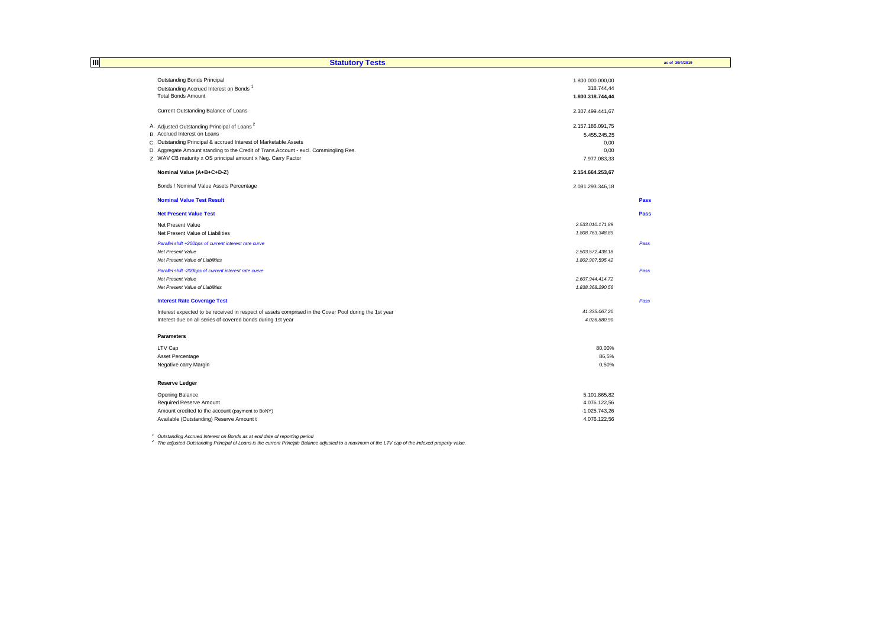| IШ | <b>Statutory Tests</b>                                                                                |                  | as of 30/4/2019 |
|----|-------------------------------------------------------------------------------------------------------|------------------|-----------------|
|    | Outstanding Bonds Principal                                                                           | 1.800.000.000,00 |                 |
|    | Outstanding Accrued Interest on Bonds <sup>1</sup>                                                    | 318.744,44       |                 |
|    | <b>Total Bonds Amount</b>                                                                             | 1.800.318.744,44 |                 |
|    | Current Outstanding Balance of Loans                                                                  | 2.307.499.441,67 |                 |
|    | A. Adjusted Outstanding Principal of Loans <sup>2</sup>                                               | 2.157.186.091,75 |                 |
|    | B. Accrued Interest on Loans                                                                          | 5.455.245,25     |                 |
|    | C. Outstanding Principal & accrued Interest of Marketable Assets                                      | 0,00             |                 |
|    | D. Aggregate Amount standing to the Credit of Trans.Account - excl. Commingling Res.                  | 0,00             |                 |
|    | Z. WAV CB maturity x OS principal amount x Neg. Carry Factor                                          | 7.977.083,33     |                 |
|    | Nominal Value (A+B+C+D-Z)                                                                             | 2.154.664.253,67 |                 |
|    | Bonds / Nominal Value Assets Percentage                                                               | 2.081.293.346,18 |                 |
|    | <b>Nominal Value Test Result</b>                                                                      |                  | Pass            |
|    | <b>Net Present Value Test</b>                                                                         |                  | Pass            |
|    | Net Present Value                                                                                     | 2.533.010.171,89 |                 |
|    | Net Present Value of Liabilities                                                                      | 1.808.763.348,89 |                 |
|    | Parallel shift +200bps of current interest rate curve                                                 |                  | Pass            |
|    | Net Present Value                                                                                     | 2.503.572.438,18 |                 |
|    | Net Present Value of Liabilities                                                                      | 1.802.907.595,42 |                 |
|    | Parallel shift -200bps of current interest rate curve                                                 |                  | Pass            |
|    | Net Present Value                                                                                     | 2.607.944.414.72 |                 |
|    | Net Present Value of Liabilities                                                                      | 1.838.368.290,56 |                 |
|    | <b>Interest Rate Coverage Test</b>                                                                    |                  | Pass            |
|    | Interest expected to be received in respect of assets comprised in the Cover Pool during the 1st year | 41.335.067,20    |                 |
|    | Interest due on all series of covered bonds during 1st year                                           | 4.026.880,90     |                 |
|    | <b>Parameters</b>                                                                                     |                  |                 |
|    | LTV Cap                                                                                               | 80,00%           |                 |
|    | Asset Percentage                                                                                      | 86,5%            |                 |
|    | Negative carry Margin                                                                                 | 0,50%            |                 |
|    | <b>Reserve Ledger</b>                                                                                 |                  |                 |
|    | Opening Balance                                                                                       | 5.101.865,82     |                 |
|    | Required Reserve Amount                                                                               | 4.076.122,56     |                 |
|    | Amount credited to the account (payment to BoNY)                                                      | $-1.025.743.26$  |                 |
|    | Available (Outstanding) Reserve Amount t                                                              | 4.076.122,56     |                 |

<sup>1</sup> Outstanding Accrued Interest on Bonds as at end date of reporting period<br><sup>2</sup> The adjusted Outstanding Principal of Loans is the current Principle Balance adjusted to a maximum of the LTV cap of the indexed property val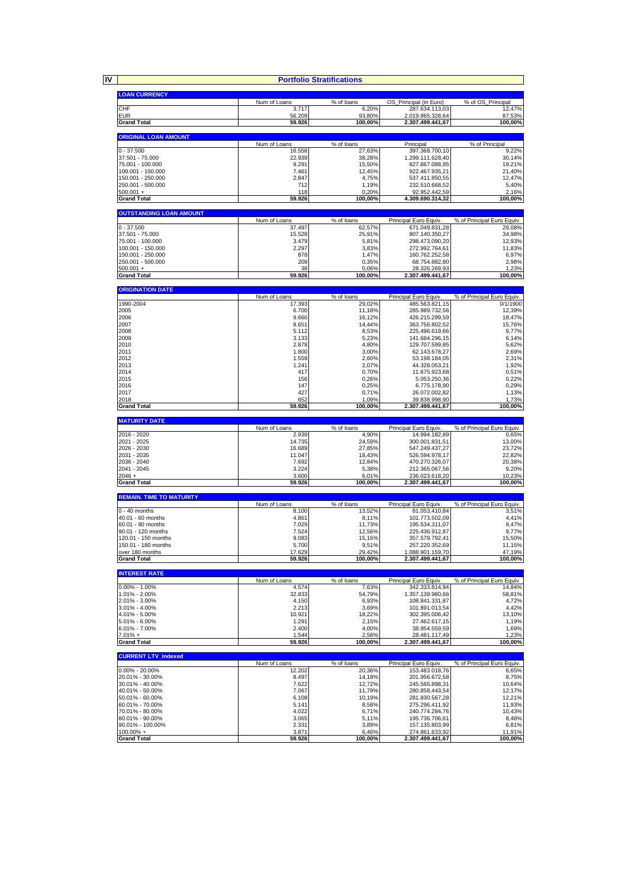**IV**

|                                        | <b>Portfolio Stratifications</b> |                                         |                                         |                                                                             |
|----------------------------------------|----------------------------------|-----------------------------------------|-----------------------------------------|-----------------------------------------------------------------------------|
| <b>LOAN CURRENCY</b>                   |                                  |                                         |                                         |                                                                             |
|                                        | Num of Loans                     | % of loans                              | OS_Principal (in Euro)                  | % of OS_Principal                                                           |
| CHF                                    | 3.717                            | 6,20%                                   | 287.634.113,03                          | 12,47%                                                                      |
| <b>EUR</b>                             | 56.209                           | 93,80%                                  | 2.019.865.328,64                        | 87,53%                                                                      |
| <b>Grand Total</b>                     | 59.926                           | 100,00%                                 | 2.307.499.441,67                        | 100,00%                                                                     |
| <b>ORIGINAL LOAN AMOUNT</b>            |                                  |                                         |                                         |                                                                             |
|                                        | Num of Loans                     | % of loans                              | Principal                               | % of Principal                                                              |
| $0 - 37.500$<br>37.501 - 75.000        | 16.558<br>22.939                 | 27,63%                                  | 397.368.700,10                          | 9,22%<br>30,14%                                                             |
| 75.001 - 100.000                       | 9.291                            | 38,28%<br>15,50%                        | 1.299.111.628,40<br>827.867.088,95      | 19,21%                                                                      |
| 100.001 - 150.000                      | 7.461                            | 12,45%                                  | 922.467.935,21                          | 21,40%                                                                      |
| 150.001 - 250.000                      | 2.847                            | 4,75%                                   | 537.411.850,55                          | 12,47%                                                                      |
| 250.001 - 500.000<br>$500.001 +$       | 712<br>118                       | 1.19%<br>0,20%                          | 232.510.668.52<br>92.952.442,59         | 5,40%<br>2,16%                                                              |
| <b>Grand Total</b>                     | 59.926                           | 100,00%                                 | 4.309.690.314,32                        | 100,00%                                                                     |
|                                        |                                  |                                         |                                         |                                                                             |
| <b>OUTSTANDING LOAN AMOUNT</b>         |                                  | % of loans                              |                                         |                                                                             |
| $0 - 37.500$                           | Num of Loans<br>37.497           | 62,57%                                  | Principal Euro Equiv<br>671.049.831,28  | % of Principal Euro Equiv.<br>29,08%                                        |
| 37.501 - 75.000                        | 15.528                           | 25,91%                                  | 807.140.350,27                          | 34,98%                                                                      |
| 75.001 - 100.000                       | 3.479                            | 5,81%                                   | 298.473.090,20                          | 12,93%                                                                      |
| 100.001 - 150.000                      | 2.297<br>878                     | 3,83%<br>1,47%                          | 272.992.764,61                          | 11,83%<br>6,97%                                                             |
| 150.001 - 250.000<br>250.001 - 500.000 | 209                              | 0,35%                                   | 160.762.252,58<br>68.754.882,80         | 2,98%                                                                       |
| $500.001 +$                            | 38                               | 0,06%                                   | 28.326.269,93                           | 1,23%                                                                       |
| <b>Grand Total</b>                     | 59.926                           | 100,00%                                 | 2.307.499.441,67                        | 100,00%                                                                     |
| <b>ORIGINATION DATE</b>                |                                  |                                         |                                         |                                                                             |
|                                        | Num of Loans                     | % of loans                              | Principal Euro Equiv.                   | % of Principal Euro Equiv.                                                  |
| 1990-2004                              | 17.393                           | 29,02%                                  | 485.563.821.15                          | 0/1/1900                                                                    |
| 2005                                   | 6.700                            | 11,18%                                  | 285.989.732,56                          | 12,39%                                                                      |
| 2006<br>2007                           | 9.660<br>8.651                   | 16,12%<br>14,44%                        | 426.215.299,59<br>363.756.802,52        | 18,47%<br>15,76%                                                            |
| 2008                                   | 5.112                            | 8,53%                                   | 225.496.619,66                          | 9,77%                                                                       |
| 2009                                   | 3.133                            | 5,23%                                   | 141.684.296,15                          | 6,14%                                                                       |
| 2010<br>2011                           | 2.878<br>1.800                   | 4,80%<br>3,00%                          | 129.707.599,85<br>62.143.678,27         | 5,62%<br>2,69%                                                              |
| 2012                                   | 1.559                            | 2,60%                                   | 53.198.184,05                           | 2,31%                                                                       |
| 2013                                   | 1.241                            | 2,07%                                   | 44.328.053,21                           | 1.92%                                                                       |
| 2014                                   | 417                              | 0,70%                                   | 11.675.923,68                           | 0,51%                                                                       |
| 2015<br>2016                           | 156<br>147                       | 0,26%<br>0,25%                          | 5.053.250,36<br>6.775.178,90            | 0,22%<br>0,29%                                                              |
| 2017                                   | 427                              | 0,71%                                   | 26.072.002,82                           | 1,13%                                                                       |
| 2018                                   | 652                              | 1,09%                                   | 39.838.998,90                           | 1,73%                                                                       |
| <b>Grand Total</b>                     | 59.926                           | 100,00%                                 | 2.307.499.441,67                        | 100,00%                                                                     |
|                                        |                                  |                                         |                                         |                                                                             |
| <b>MATURITY DATE</b>                   |                                  |                                         |                                         |                                                                             |
|                                        | Num of Loans                     | % of loans                              | Principal Euro Equiv                    | % of Principal Euro Equiv.                                                  |
| 2016 - 2020                            | 2.939                            | 4,90%                                   | 14.994.182,89                           | 0,65%                                                                       |
| 2021 - 2025                            | 14.735                           | 24,59%                                  | 300.001.831,51                          | 13,00%                                                                      |
| 2026 - 2030<br>2031 - 2035             | 16.689<br>11.047                 | 27,85%<br>18,43%                        | 547.249.437,27<br>526.594.978,17        | 23,72%<br>22,82%                                                            |
| 2036 - 2040                            | 7.692                            | 12,84%                                  | 470.270.326,07                          | 20,38%                                                                      |
| 2041 - 2045                            | 3.224                            | 5,38%                                   | 212.365.067,56                          | 9,20%                                                                       |
| 2046+                                  | 3.600                            | 6,01%                                   | 236.023.618,20                          | 10,23%                                                                      |
| <b>Grand Total</b>                     | 59.926                           | 100,00%                                 | 2.307.499.441,67                        | 100,00%                                                                     |
| <b>REMAIN. TIME TO MATURITY</b>        |                                  |                                         |                                         |                                                                             |
|                                        | Num of Loans                     | % of loans                              | Principal Euro Equiv.                   | % of Principal Euro Equiv.                                                  |
| $0 - 40$ months<br>40.01 - 60 months   | 8.100<br>4.861                   | 13.52%                                  | 81.053.410,84                           | 3,51%                                                                       |
| 60.01 - 90 months                      | 7.029                            | 8,11%<br>11,73%                         | 101.773.502,09<br>195.534.311,07        | 4,41%<br>8,47%                                                              |
| 90.01 - 120 months                     | 7.524                            | 12,56%                                  | 225.436.912,87                          | 9,77%                                                                       |
| 120.01 - 150 months                    | 9.083<br>5.700                   | 15,16%                                  | 357.579.792,41                          | 15,50%                                                                      |
| 150.01 - 180 months<br>over 180 months | 17.629                           | 9,51%<br>29,42%                         | 257.220.352,69<br>1.088.901.159,70      | 11,15%<br>47,19%                                                            |
| <b>Grand Total</b>                     | 59.926                           | 100,00%                                 | 2.307.499.441,67                        |                                                                             |
|                                        |                                  |                                         |                                         |                                                                             |
| <b>INTEREST RATE</b>                   |                                  |                                         |                                         | 100,00%                                                                     |
| $0.00\% - 1.00\%$                      | Num of Loans<br>4.574            | $\sqrt{\frac{6}{10}}$ of loans<br>7,63% | Principal Euro Equiv.<br>342.333.814,94 | % of Principal Euro Equiv.<br>14,84%                                        |
| 1.01% - 2.00%                          | 32.833                           | 54,79%                                  | 1.357.139.980,66                        | 58,81%                                                                      |
| 2.01% - 3.00%                          | 4.150                            | 6,93%                                   | 108.841.331,87                          | 4,72%                                                                       |
| 3.01% - 4.00%                          | 2.213                            | 3,69%                                   | 101.891.013,54                          | 4,42%                                                                       |
| 4.01% - 5.00%<br>5.01% - 6.00%         | 10.921<br>1.291                  | 18,22%<br>2,15%                         | 302.395.006,42<br>27.462.617,15         | 13,10%<br>1,19%                                                             |
| 6.01% - 7.00%                          | 2.400                            | 4,00%                                   | 38.954.559,59                           | 1,69%                                                                       |
| $7.01% +$                              | 1.544                            | 2,58%                                   | 28.481.117,49                           |                                                                             |
| <b>Grand Total</b>                     | 59.926                           | 100,00%                                 | 2.307.499.441,67                        |                                                                             |
| <b>CURRENT LTV_Indexed</b>             |                                  |                                         |                                         |                                                                             |
|                                        | Num of Loans                     | % of loans                              | Principal Euro Equiv.                   |                                                                             |
| $0.00\% - 20.00\%$                     | 12.202                           | 20,36%                                  | 153.483.018,76                          | 6,65%                                                                       |
| 20.01% - 30.00%                        | 8.497                            | 14,18%                                  | 201.956.672,58                          |                                                                             |
| 30.01% - 40.00%<br>40.01% - 50.00%     | 7.622<br>7.067                   | 12,72%<br>11,79%                        | 245.565.898,31<br>280.858.443,54        | 1,23%<br>100,00%<br>% of Principal Euro Equiv.<br>8,75%<br>10,64%<br>12,17% |
| 50.01% - 60.00%                        | 6.108                            | 10,19%                                  | 281.830.567,28                          | 12,21%                                                                      |
| 60.01% - 70.00%                        | 5.141                            | 8,58%                                   | 275.296.411,92                          | 11,93%                                                                      |
| 70.01% - 80.00%<br>80.01% - 90.00%     | 4.022                            | 6,71%                                   | 240.774.284,76                          | 10,43%                                                                      |
| 90.01% - 100.00%                       | 3.065<br>2.331                   | 5,11%<br>3,89%                          | 195.736.706,61<br>157.135.803,99        | 8,48%                                                                       |
| $100.00\% +$<br><b>Grand Total</b>     | 3.871<br>59.926                  | 6,46%<br>100,00%                        | 274.861.633,92<br>2.307.499.441,67      | 6,81%<br>11,91%<br>100,00%                                                  |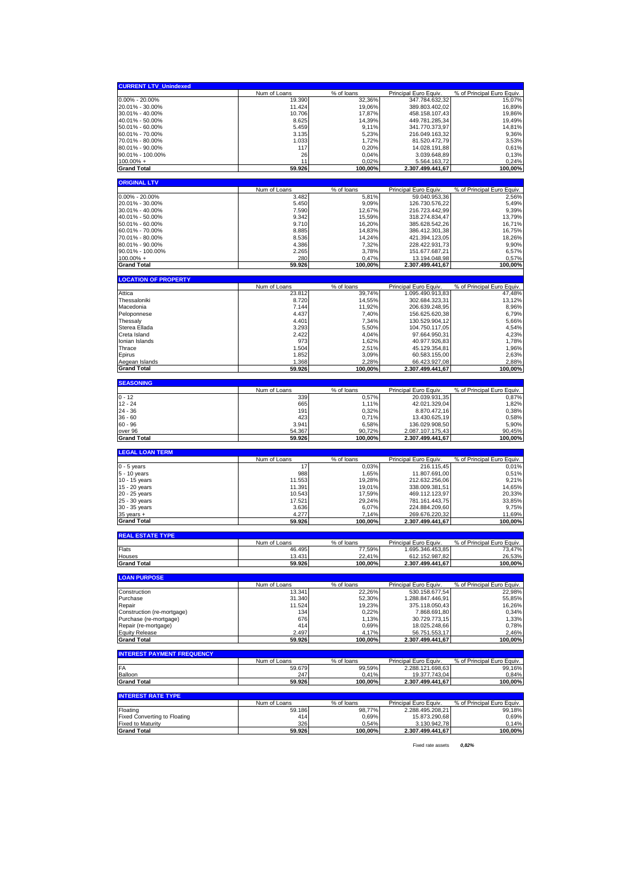| <b>CURRENT LTV_Unindexed</b>                                    |                     |                     |                                        |                                     |
|-----------------------------------------------------------------|---------------------|---------------------|----------------------------------------|-------------------------------------|
|                                                                 | Num of Loans        | % of loans          | Principal Euro Equiv.                  | % of Principal Euro Equiv.          |
| $0.00\% - 20.00\%$                                              | 19.390              | 32,36%              | 347.784.632,32                         | 15,07%                              |
| 20.01% - 30.00%                                                 | 11.424              | 19,06%              | 389.803.402,02                         | 16,89%                              |
| 30.01% - 40.00%<br>40.01% - 50.00%                              | 10.706<br>8.625     | 17,87%<br>14,39%    | 458.158.107,43<br>449.781.285,34       | 19,86%<br>19,49%                    |
| 50.01% - 60.00%                                                 | 5.459               | 9,11%               | 341.770.373,97                         | 14,81%                              |
| 60.01% - 70.00%                                                 | 3.135               | 5,23%               | 216.049.163,32                         | 9,36%                               |
| 70.01% - 80.00%                                                 | 1.033               | 1.72%               | 81.520.472,79                          | 3,53%                               |
| 80.01% - 90.00%                                                 | 117                 | 0,20%               | 14.028.191,88                          | 0,61%                               |
| 90.01% - 100.00%                                                | 26                  | 0,04%               | 3.039.648,89                           | 0,13%                               |
| $100.00\% +$<br><b>Grand Total</b>                              | 11<br>59.926        | 0,02%<br>100,00%    | 5.564.163,72<br>2.307.499.441,67       | 0,24%<br>100,00%                    |
|                                                                 |                     |                     |                                        |                                     |
| <b>ORIGINAL LTV</b>                                             |                     |                     |                                        |                                     |
|                                                                 | Num of Loans        | % of loans          | Principal Euro Equiv.                  | % of Principal Euro Equiv.          |
| 0.00% - 20.00%                                                  | 3.482               | 5,81%               | 59.040.953,36                          | 2,56%                               |
| 20.01% - 30.00%<br>30.01% - 40.00%                              | 5.450<br>7.590      | 9,09%<br>12,67%     | 126.730.576,22<br>216.723.442,99       | 5,49%<br>9,39%                      |
| 40.01% - 50.00%                                                 | 9.342               | 15,59%              | 318.274.834,47                         | 13,79%                              |
| 50.01% - 60.00%                                                 | 9.710               | 16,20%              | 385.628.542,26                         | 16,71%                              |
| 60.01% - 70.00%                                                 | 8.885               | 14,83%              | 386.412.301,38                         | 16,75%                              |
| 70.01% - 80.00%                                                 | 8.536               | 14,24%              | 421.394.123,05                         | 18,26%                              |
| 80.01% - 90.00%                                                 | 4.386               | 7,32%               | 228.422.931,73                         | 9,90%                               |
| 90.01% - 100.00%<br>$100.00\%$ +                                | 2.265<br>280        | 3,78%<br>0,47%      | 151.677.687,21<br>13.194.048,98        | 6,57%                               |
| <b>Grand Total</b>                                              | 59.926              | 100,00%             | 2.307.499.441,67                       | 0,57%<br>100,00%                    |
|                                                                 |                     |                     |                                        |                                     |
| <b>LOCATION OF PROPERTY</b>                                     |                     |                     |                                        |                                     |
|                                                                 | Num of Loans        | % of loans          | Principal Euro Equiv.                  | % of Principal Euro Equiv.          |
| Attica<br>Thessaloniki                                          | 23.812<br>8.720     | 39,74%<br>14,55%    | 1.095.490.913,83<br>302.684.323,31     | 47,48%<br>13,12%                    |
| Macedonia                                                       | 7.144               | 11,92%              | 206.639.248,95                         | 8,96%                               |
| Peloponnese                                                     | 4.437               | 7,40%               | 156.625.620,38                         | 6,79%                               |
| Thessaly                                                        | 4.401               | 7,34%               | 130.529.904,12                         | 5,66%                               |
| Sterea Ellada                                                   | 3.293               | 5,50%               | 104.750.117,05                         | 4,54%                               |
| Creta Island                                                    | 2.422               | 4,04%               | 97.664.950,31                          | 4,23%                               |
| Ionian Islands                                                  | 973                 | 1,62%               | 40.977.926,83                          | 1,78%                               |
| Thrace                                                          | 1.504               | 2,51%               | 45.129.354,81                          | 1,96%                               |
| Epirus<br>Aegean Islands                                        | 1.852<br>1.368      | 3,09%<br>2,28%      | 60.583.155,00<br>66.423.927,08         | 2,63%<br>2,88%                      |
| <b>Grand Total</b>                                              | 59.926              | 100,00%             | 2.307.499.441,67                       | 100,00%                             |
|                                                                 |                     |                     |                                        |                                     |
| <b>SEASONING</b>                                                |                     |                     |                                        |                                     |
| $0 - 12$                                                        | Num of Loans<br>339 | % of loans<br>0,57% | Principal Euro Equiv.<br>20.039.931,35 | % of Principal Euro Equiv.<br>0,87% |
| $12 - 24$                                                       | 665                 |                     |                                        |                                     |
|                                                                 |                     |                     |                                        |                                     |
| 24 - 36                                                         | 191                 | 1,11%<br>0,32%      | 42.021.329,04<br>8.870.472,16          | 1,82%<br>0,38%                      |
| $36 - 60$                                                       | 423                 | 0,71%               | 13.430.625,19                          | 0,58%                               |
| $60 - 96$                                                       | 3.941               | 6,58%               | 136.029.908,50                         | 5,90%                               |
| over 96                                                         | 54.367              | 90,72%              | 2.087.107.175,43                       | 90,45%                              |
| <b>Grand Total</b>                                              | 59.926              | 100,00%             | 2.307.499.441,67                       | 100,00%                             |
| <b>LEGAL LOAN TERM</b>                                          |                     |                     |                                        |                                     |
|                                                                 | Num of Loans        | % of loans          | Principal Euro Equiv.                  | % of Principal Euro Equiv.          |
| $0 - 5$ years                                                   | 17                  | 0,03%               | 216.115,45                             | 0,01%                               |
| 5 - 10 years                                                    | 988                 | 1,65%               | 11.807.691,00                          | 0,51%                               |
| 10 - 15 years                                                   | 11.553<br>11.391    | 19,28%              | 212.632.256,06<br>338.009.381,51       | 9,21%                               |
| 15 - 20 years<br>20 - 25 years                                  | 10.543              | 19,01%<br>17,59%    | 469.112.123,97                         | 14,65%<br>20,33%                    |
| 25 - 30 years                                                   | 17.521              | 29,24%              | 781.161.443,75                         | 33,85%                              |
| 30 - 35 years                                                   | 3.636               | 6,07%               | 224.884.209,60                         | 9,75%                               |
| $35$ years $+$                                                  | 4.277               | 7,14%               | 269.676.220,32                         | 11,69%                              |
| <b>Grand Total</b>                                              | 59.926              | 100,00%             | 2.307.499.441,67                       | 100,00%                             |
| <b>REAL ESTATE TYPE</b>                                         |                     |                     |                                        |                                     |
|                                                                 | Num of Loans        | % of loans          | Principal Euro Equiv                   | % of Principal Euro Equiv.          |
| Flats                                                           | 46.495              | 77,59%              | 1.695.346.453,85                       | 73,47%                              |
| Houses                                                          | 13.431              | 22,41%              | 612.152.987,82                         | 26,53%                              |
| <b>Grand Total</b>                                              | 59.926              | 100,00%             | 2.307.499.441,67                       | 100,00%                             |
| <b>LOAN PURPOSE</b>                                             |                     |                     |                                        |                                     |
|                                                                 | Num of Loans        | % of loans          | Principal Euro Equiv.                  | % of Principal Euro Equiv.          |
| Construction                                                    | 13.341              | 22,26%              | 530.158.677,54                         | 22,98%                              |
| Purchase                                                        | 31.340              | 52,30%              | 1.288.847.446,91                       | 55,85%                              |
| Repair<br>Construction (re-mortgage)                            | 11.524<br>134       | 19,23%<br>0,22%     | 375.118.050.43<br>7.868.691,80         | 16,26%<br>0,34%                     |
| Purchase (re-mortgage)                                          | 676                 | 1,13%               | 30.729.773,15                          | 1,33%                               |
| Repair (re-mortgage)                                            | 414                 | 0,69%               | 18.025.248,66                          | 0,78%                               |
| <b>Equity Release</b>                                           | 2.497               | 4,17%               | 56.751.553,17                          | 2,46%                               |
| <b>Grand Total</b>                                              | 59.926              | 100,00%             | 2.307.499.441,67                       | 100,00%                             |
| <b>INTEREST PAYMENT FREQUENCY</b>                               |                     |                     |                                        |                                     |
|                                                                 | Num of Loans        | % of loans          | Principal Euro Equiv.                  | % of Principal Euro Equiv.          |
| FA                                                              | 59.679              | 99,59%              | 2.288.121.698,63                       | 99,16%                              |
| Balloon                                                         | 247                 | 0,41%               | 19.377.743,04                          | 0,84%                               |
| <b>Grand Total</b>                                              | 59.926              | 100,00%             | 2.307.499.441,67                       | 100,00%                             |
| <b>INTEREST RATE TYPE</b>                                       |                     |                     |                                        |                                     |
|                                                                 | Num of Loans        | % of loans          | Principal Euro Equiv.                  | % of Principal Euro Equiv.          |
| Floating                                                        | 59.186              | 98,77%              | 2.288.495.208,21                       | 99,18%                              |
| <b>Fixed Converting to Floating</b><br><b>Fixed to Maturity</b> | 414<br>326          | 0,69%<br>0,54%      | 15.873.290,68<br>3.130.942,78          | 0,69%<br>0,14%                      |

Fixed rate assets *0,82%*